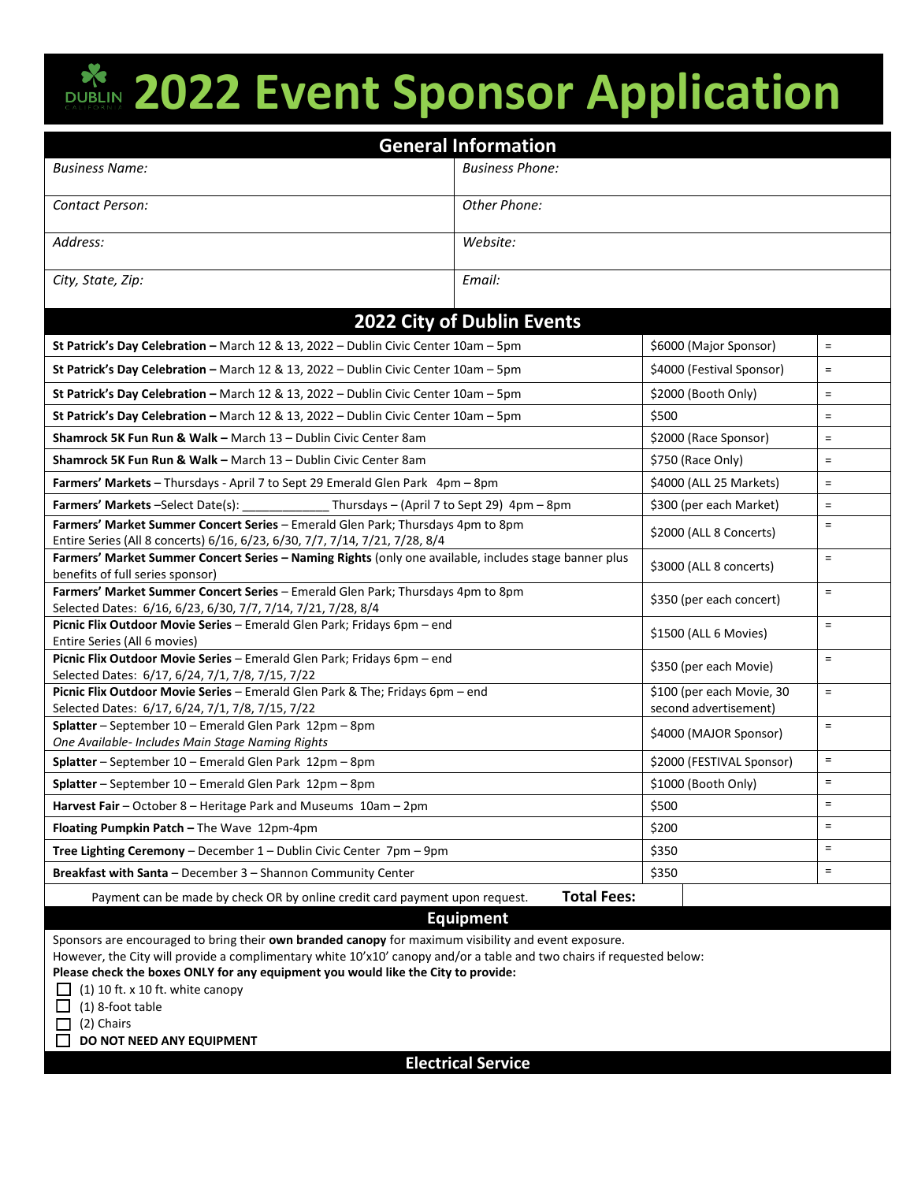## **2022 Event Sponsor Application**

| <b>General Information</b>                                                                                                                |                        |                                                    |                           |          |
|-------------------------------------------------------------------------------------------------------------------------------------------|------------------------|----------------------------------------------------|---------------------------|----------|
| <b>Business Name:</b>                                                                                                                     | <b>Business Phone:</b> |                                                    |                           |          |
| Contact Person:                                                                                                                           | Other Phone:           |                                                    |                           |          |
| Address:                                                                                                                                  | Website:               |                                                    |                           |          |
| City, State, Zip:                                                                                                                         | Email:                 |                                                    |                           |          |
| 2022 City of Dublin Events                                                                                                                |                        |                                                    |                           |          |
| St Patrick's Day Celebration - March 12 & 13, 2022 - Dublin Civic Center 10am - 5pm                                                       |                        |                                                    | \$6000 (Major Sponsor)    | $\equiv$ |
| St Patrick's Day Celebration - March 12 & 13, 2022 - Dublin Civic Center 10am - 5pm                                                       |                        |                                                    | \$4000 (Festival Sponsor) | $\equiv$ |
| St Patrick's Day Celebration - March 12 & 13, 2022 - Dublin Civic Center 10am - 5pm                                                       |                        | \$2000 (Booth Only)                                |                           | $\equiv$ |
| St Patrick's Day Celebration - March 12 & 13, 2022 - Dublin Civic Center 10am - 5pm                                                       |                        | \$500                                              |                           | $\equiv$ |
| Shamrock 5K Fun Run & Walk - March 13 - Dublin Civic Center 8am                                                                           |                        | \$2000 (Race Sponsor)                              |                           | $\equiv$ |
| Shamrock 5K Fun Run & Walk - March 13 - Dublin Civic Center 8am                                                                           |                        | \$750 (Race Only)                                  |                           | $\equiv$ |
| Farmers' Markets - Thursdays - April 7 to Sept 29 Emerald Glen Park 4pm - 8pm                                                             |                        | \$4000 (ALL 25 Markets)                            |                           | $\equiv$ |
| Farmers' Markets -Select Date(s): _______________ Thursdays - (April 7 to Sept 29) 4pm - 8pm                                              |                        | \$300 (per each Market)                            |                           | $\equiv$ |
| Farmers' Market Summer Concert Series - Emerald Glen Park; Thursdays 4pm to 8pm                                                           |                        | \$2000 (ALL 8 Concerts)                            |                           | $\equiv$ |
| Entire Series (All 8 concerts) 6/16, 6/23, 6/30, 7/7, 7/14, 7/21, 7/28, 8/4                                                               |                        |                                                    |                           |          |
| Farmers' Market Summer Concert Series - Naming Rights (only one available, includes stage banner plus<br>benefits of full series sponsor) |                        | \$3000 (ALL 8 concerts)                            |                           | $\equiv$ |
| Farmers' Market Summer Concert Series - Emerald Glen Park; Thursdays 4pm to 8pm                                                           |                        | \$350 (per each concert)                           |                           | $\equiv$ |
| Selected Dates: 6/16, 6/23, 6/30, 7/7, 7/14, 7/21, 7/28, 8/4                                                                              |                        |                                                    |                           |          |
| Picnic Flix Outdoor Movie Series - Emerald Glen Park; Fridays 6pm - end<br>Entire Series (All 6 movies)                                   |                        |                                                    | \$1500 (ALL 6 Movies)     | $\equiv$ |
| Picnic Flix Outdoor Movie Series - Emerald Glen Park; Fridays 6pm - end                                                                   |                        |                                                    |                           | $\equiv$ |
| Selected Dates: 6/17, 6/24, 7/1, 7/8, 7/15, 7/22                                                                                          |                        |                                                    | \$350 (per each Movie)    |          |
| Picnic Flix Outdoor Movie Series - Emerald Glen Park & The; Fridays 6pm - end<br>Selected Dates: 6/17, 6/24, 7/1, 7/8, 7/15, 7/22         |                        | \$100 (per each Movie, 30<br>second advertisement) |                           | $\equiv$ |
| Splatter - September 10 - Emerald Glen Park 12pm - 8pm                                                                                    |                        | \$4000 (MAJOR Sponsor)                             |                           | $\equiv$ |
| One Available- Includes Main Stage Naming Rights                                                                                          |                        |                                                    |                           |          |
| Splatter - September 10 - Emerald Glen Park 12pm - 8pm                                                                                    |                        | \$2000 (FESTIVAL Sponsor)                          |                           | $\equiv$ |
| Splatter - September 10 - Emerald Glen Park 12pm - 8pm                                                                                    |                        | \$1000 (Booth Only)                                |                           | $\equiv$ |
| Harvest Fair – October 8 – Heritage Park and Museums $10$ am – 2pm                                                                        |                        | \$500                                              |                           | =        |
| Floating Pumpkin Patch - The Wave 12pm-4pm                                                                                                |                        | \$200                                              |                           | $\equiv$ |
| <b>Tree Lighting Ceremony</b> – December $1$ – Dublin Civic Center $7$ pm – $9$ pm                                                        |                        | \$350                                              |                           | $\equiv$ |
| Breakfast with Santa - December 3 - Shannon Community Center                                                                              |                        | \$350                                              |                           | $\equiv$ |
| Payment can be made by check OR by online credit card payment upon request.                                                               | <b>Total Fees:</b>     |                                                    |                           |          |
| <b>Equipment</b>                                                                                                                          |                        |                                                    |                           |          |
| Sponsors are encouraged to bring their own branded canopy for maximum visibility and event exposure.                                      |                        |                                                    |                           |          |
| However, the City will provide a complimentary white 10'x10' canopy and/or a table and two chairs if requested below:                     |                        |                                                    |                           |          |
| Please check the boxes ONLY for any equipment you would like the City to provide:                                                         |                        |                                                    |                           |          |
| $(1)$ 10 ft. x 10 ft. white canopy<br>(1) 8-foot table                                                                                    |                        |                                                    |                           |          |
|                                                                                                                                           |                        |                                                    |                           |          |

 $\Box$  (2) Chairs **DO NOT NEED ANY EQUIPMENT** 

**Electrical Service**